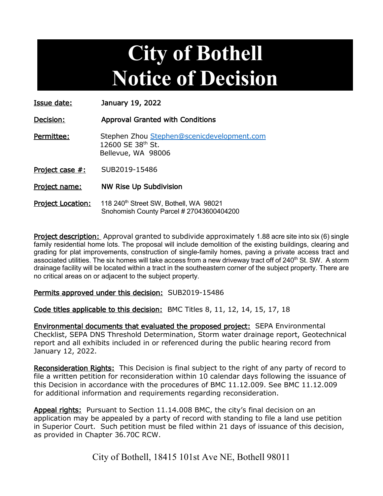## **City of Bothell Notice of Decision**

Issue date: January 19, 2022

Decision: Approval Granted with Conditions

Permittee: Stephen Zhou [Stephen@scenicdevelopment.com](mailto:Stephen@scenicdevelopment.com) 12600 SE 38th St. Bellevue, WA 98006

Project case #: SUB2019-15486

Project name: NW Rise Up Subdivision

Project Location: 118 240<sup>th</sup> Street SW, Bothell, WA 98021 Snohomish County Parcel # 27043600404200

**Project description:** Approval granted to subdivide approximately 1.88 acre site into six (6) single family residential home lots. The proposal will include demolition of the existing buildings, clearing and grading for plat improvements, construction of single-family homes, paving a private access tract and associated utilities. The six homes will take access from a new driveway tract off of 240<sup>th</sup> St. SW. A storm drainage facility will be located within a tract in the southeastern corner of the subject property. There are no critical areas on or adjacent to the subject property.

## Permits approved under this decision: SUB2019-15486

Code titles applicable to this decision: BMC Titles 8, 11, 12, 14, 15, 17, 18

Environmental documents that evaluated the proposed project: SEPA Environmental Checklist, SEPA DNS Threshold Determination, Storm water drainage report, Geotechnical report and all exhibits included in or referenced during the public hearing record from January 12, 2022.

Reconsideration Rights: This Decision is final subject to the right of any party of record to file a written petition for reconsideration within 10 calendar days following the issuance of this Decision in accordance with the procedures of BMC 11.12.009. See BMC 11.12.009 for additional information and requirements regarding reconsideration.

Appeal rights: Pursuant to Section 11.14.008 BMC, the city's final decision on an application may be appealed by a party of record with standing to file a land use petition in Superior Court. Such petition must be filed within 21 days of issuance of this decision, as provided in Chapter 36.70C RCW.

City of Bothell, 18415 101st Ave NE, Bothell 98011